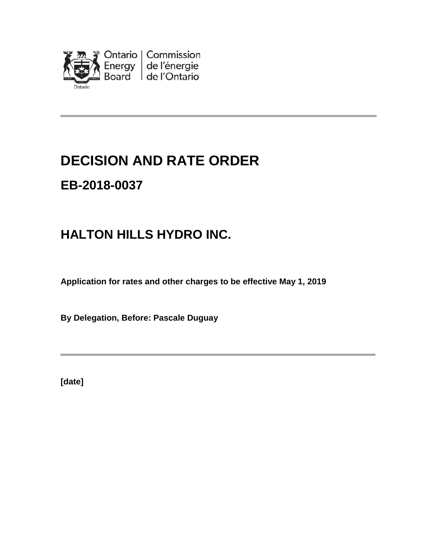

# **DECISION AND RATE ORDER**

# **EB-2018-0037**

# **HALTON HILLS HYDRO INC.**

**Application for rates and other charges to be effective May 1, 2019**

**By Delegation, Before: Pascale Duguay**

**[date]**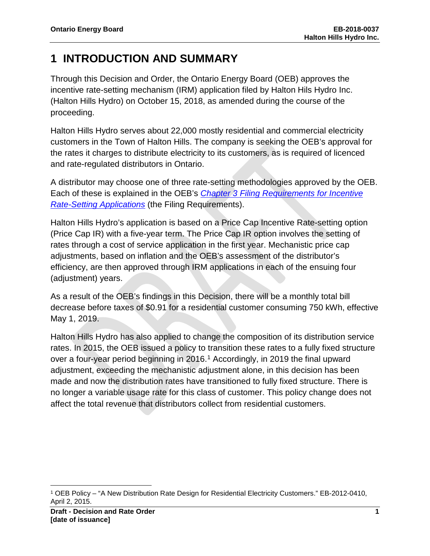### **1 INTRODUCTION AND SUMMARY**

Through this Decision and Order, the Ontario Energy Board (OEB) approves the incentive rate-setting mechanism (IRM) application filed by Halton Hils Hydro Inc. (Halton Hills Hydro) on October 15, 2018, as amended during the course of the proceeding.

Halton Hills Hydro serves about 22,000 mostly residential and commercial electricity customers in the Town of Halton Hills. The company is seeking the OEB's approval for the rates it charges to distribute electricity to its customers, as is required of licenced and rate-regulated distributors in Ontario.

A distributor may choose one of three rate-setting methodologies approved by the OEB. Each of these is explained in the OEB's *[Chapter 3 Filing Requirements for Incentive](https://www.oeb.ca/sites/default/files/Chapter-3-Filing-Requirements-20180712-1.pdf)  [Rate-Setting Applications](https://www.oeb.ca/sites/default/files/Chapter-3-Filing-Requirements-20180712-1.pdf)* (the Filing Requirements).

Halton Hills Hydro's application is based on a Price Cap Incentive Rate-setting option (Price Cap IR) with a five-year term. The Price Cap IR option involves the setting of rates through a cost of service application in the first year. Mechanistic price cap adjustments, based on inflation and the OEB's assessment of the distributor's efficiency, are then approved through IRM applications in each of the ensuing four (adjustment) years.

As a result of the OEB's findings in this Decision, there will be a monthly total bill decrease before taxes of \$0.91 for a residential customer consuming 750 kWh, effective May 1, 2019.

Halton Hills Hydro has also applied to change the composition of its distribution service rates. In 2015, the OEB issued a policy to transition these rates to a fully fixed structure over a four-year period beginning in 20[1](#page-1-0)6.<sup>1</sup> Accordingly, in 2019 the final upward adjustment, exceeding the mechanistic adjustment alone, in this decision has been made and now the distribution rates have transitioned to fully fixed structure. There is no longer a variable usage rate for this class of customer. This policy change does not affect the total revenue that distributors collect from residential customers.

l

<span id="page-1-0"></span><sup>1</sup> OEB Policy – "A New Distribution Rate Design for Residential Electricity Customers." EB-2012-0410, April 2, 2015.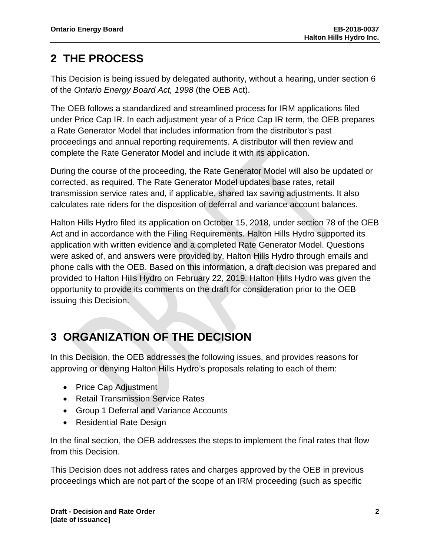### **2 THE PROCESS**

This Decision is being issued by delegated authority, without a hearing, under section 6 of the *Ontario Energy Board Act, 1998* (the OEB Act).

The OEB follows a standardized and streamlined process for IRM applications filed under Price Cap IR. In each adjustment year of a Price Cap IR term, the OEB prepares a Rate Generator Model that includes information from the distributor's past proceedings and annual reporting requirements. A distributor will then review and complete the Rate Generator Model and include it with its application.

During the course of the proceeding, the Rate Generator Model will also be updated or corrected, as required. The Rate Generator Model updates base rates, retail transmission service rates and, if applicable, shared tax saving adjustments. It also calculates rate riders for the disposition of deferral and variance account balances.

Halton Hills Hydro filed its application on October 15, 2018, under section 78 of the OEB Act and in accordance with the Filing Requirements. Halton Hills Hydro supported its application with written evidence and a completed Rate Generator Model. Questions were asked of, and answers were provided by, Halton Hills Hydro through emails and phone calls with the OEB. Based on this information, a draft decision was prepared and provided to Halton Hills Hydro on February 22, 2019. Halton Hills Hydro was given the opportunity to provide its comments on the draft for consideration prior to the OEB issuing this Decision.

## **3 ORGANIZATION OF THE DECISION**

In this Decision, the OEB addresses the following issues, and provides reasons for approving or denying Halton Hills Hydro's proposals relating to each of them:

- Price Cap Adjustment
- Retail Transmission Service Rates
- Group 1 Deferral and Variance Accounts
- Residential Rate Design

In the final section, the OEB addresses the steps to implement the final rates that flow from this Decision.

This Decision does not address rates and charges approved by the OEB in previous proceedings which are not part of the scope of an IRM proceeding (such as specific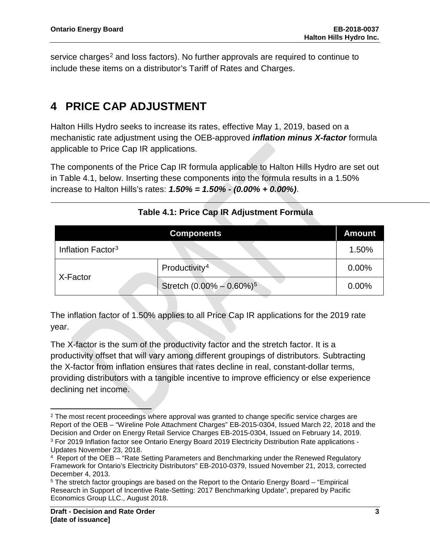service charges<sup>[2](#page-3-0)</sup> and loss factors). No further approvals are required to continue to include these items on a distributor's Tariff of Rates and Charges.

### **4 PRICE CAP ADJUSTMENT**

Halton Hills Hydro seeks to increase its rates, effective May 1, 2019, based on a mechanistic rate adjustment using the OEB-approved *inflation minus X-factor* formula applicable to Price Cap IR applications.

The components of the Price Cap IR formula applicable to Halton Hills Hydro are set out in Table 4.1, below. Inserting these components into the formula results in a 1.50% increase to Halton Hills's rates: *1.50% = 1.50% - (0.00% + 0.00%)*.

|                               | <b>Components</b>                        | <b>Amount</b> |
|-------------------------------|------------------------------------------|---------------|
| Inflation Factor <sup>3</sup> |                                          | 1.50%         |
| X-Factor                      | Productivity <sup>4</sup>                | 0.00%         |
|                               | Stretch $(0.00\% - 0.60\%)$ <sup>5</sup> | 0.00%         |

#### **Table 4.1: Price Cap IR Adjustment Formula**

The inflation factor of 1.50% applies to all Price Cap IR applications for the 2019 rate year.

The X-factor is the sum of the productivity factor and the stretch factor. It is a productivity offset that will vary among different groupings of distributors. Subtracting the X-factor from inflation ensures that rates decline in real, constant-dollar terms, providing distributors with a tangible incentive to improve efficiency or else experience declining net income.

l

<span id="page-3-0"></span> $2$  The most recent proceedings where approval was granted to change specific service charges are Report of the OEB – "Wireline Pole Attachment Charges" EB-2015-0304, Issued March 22, 2018 and the Decision and Order on Energy Retail Service Charges EB-2015-0304, Issued on February 14, 2019. <sup>3</sup> For 2019 Inflation factor see Ontario Energy Board 2019 Electricity Distribution Rate applications - [Updates November 23, 2018.](https://www.oeb.ca/industry/applications-oeb/electricity-distribution-rates/2019-electricity-distribution-rate#updates)

<span id="page-3-1"></span><sup>4</sup> Report of the OEB – "Rate Setting Parameters and Benchmarking under the Renewed Regulatory Framework for Ontario's Electricity Distributors" EB-2010-0379, Issued November 21, 2013, corrected December 4, 2013.

<span id="page-3-4"></span><span id="page-3-3"></span><span id="page-3-2"></span><sup>5</sup> The stretch factor groupings are based on the Report to the Ontario Energy Board – "Empirical Research in Support of Incentive Rate-Setting: 2017 Benchmarking Update", prepared by Pacific Economics Group LLC., August 2018.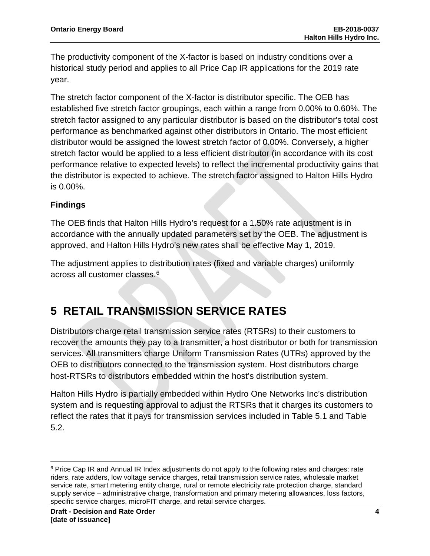The productivity component of the X-factor is based on industry conditions over a historical study period and applies to all Price Cap IR applications for the 2019 rate year.

The stretch factor component of the X-factor is distributor specific. The OEB has established five stretch factor groupings, each within a range from 0.00% to 0.60%. The stretch factor assigned to any particular distributor is based on the distributor's total cost performance as benchmarked against other distributors in Ontario. The most efficient distributor would be assigned the lowest stretch factor of 0.00%. Conversely, a higher stretch factor would be applied to a less efficient distributor (in accordance with its cost performance relative to expected levels) to reflect the incremental productivity gains that the distributor is expected to achieve. The stretch factor assigned to Halton Hills Hydro is 0.00%.

#### **Findings**

The OEB finds that Halton Hills Hydro's request for a 1.50% rate adjustment is in accordance with the annually updated parameters set by the OEB. The adjustment is approved, and Halton Hills Hydro's new rates shall be effective May 1, 2019.

The adjustment applies to distribution rates (fixed and variable charges) uniformly across all customer classes. [6](#page-4-0)

### **5 RETAIL TRANSMISSION SERVICE RATES**

Distributors charge retail transmission service rates (RTSRs) to their customers to recover the amounts they pay to a transmitter, a host distributor or both for transmission services. All transmitters charge Uniform Transmission Rates (UTRs) approved by the OEB to distributors connected to the transmission system. Host distributors charge host-RTSRs to distributors embedded within the host's distribution system.

Halton Hills Hydro is partially embedded within Hydro One Networks Inc's distribution system and is requesting approval to adjust the RTSRs that it charges its customers to reflect the rates that it pays for transmission services included in Table 5.1 and Table 5.2.

<span id="page-4-0"></span> $\overline{\phantom{a}}$ <sup>6</sup> Price Cap IR and Annual IR Index adjustments do not apply to the following rates and charges: rate riders, rate adders, low voltage service charges, retail transmission service rates, wholesale market service rate, smart metering entity charge, rural or remote electricity rate protection charge, standard supply service – administrative charge, transformation and primary metering allowances, loss factors, specific service charges, microFIT charge, and retail service charges.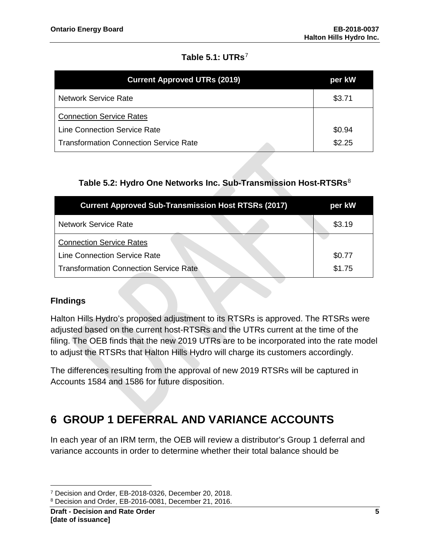#### **Table 5.1: UTRs**[7](#page-5-0)

| <b>Current Approved UTRs (2019)</b>           | per kW |
|-----------------------------------------------|--------|
| <b>Network Service Rate</b>                   | \$3.71 |
| <b>Connection Service Rates</b>               |        |
| <b>Line Connection Service Rate</b>           | \$0.94 |
| <b>Transformation Connection Service Rate</b> | \$2.25 |

#### **Table 5.2: Hydro One Networks Inc. Sub-Transmission Host-RTSRs**[8](#page-5-1)

| <b>Current Approved Sub-Transmission Host RTSRs (2017)</b> | per kW |
|------------------------------------------------------------|--------|
| <b>Network Service Rate</b>                                | \$3.19 |
| <b>Connection Service Rates</b>                            |        |
| <b>Line Connection Service Rate</b>                        | \$0.77 |
| <b>Transformation Connection Service Rate</b>              | \$1.75 |

#### **FIndings**

Halton Hills Hydro's proposed adjustment to its RTSRs is approved. The RTSRs were adjusted based on the current host-RTSRs and the UTRs current at the time of the filing. The OEB finds that the new 2019 UTRs are to be incorporated into the rate model to adjust the RTSRs that Halton Hills Hydro will charge its customers accordingly.

The differences resulting from the approval of new 2019 RTSRs will be captured in Accounts 1584 and 1586 for future disposition.

### **6 GROUP 1 DEFERRAL AND VARIANCE ACCOUNTS**

In each year of an IRM term, the OEB will review a distributor's Group 1 deferral and variance accounts in order to determine whether their total balance should be

l <sup>7</sup> Decision and Order, EB-2018-0326, December 20, 2018.

<span id="page-5-1"></span><span id="page-5-0"></span><sup>8</sup> Decision and Order, EB-2016-0081, December 21, 2016.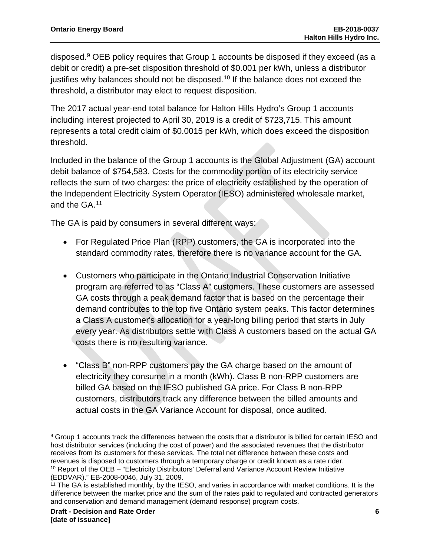disposed.[9](#page-6-0) OEB policy requires that Group 1 accounts be disposed if they exceed (as a debit or credit) a pre-set disposition threshold of \$0.001 per kWh, unless a distributor justifies why balances should not be disposed.<sup>[10](#page-6-1)</sup> If the balance does not exceed the threshold, a distributor may elect to request disposition.

The 2017 actual year-end total balance for Halton Hills Hydro's Group 1 accounts including interest projected to April 30, 2019 is a credit of \$723,715. This amount represents a total credit claim of \$0.0015 per kWh, which does exceed the disposition threshold.

Included in the balance of the Group 1 accounts is the Global Adjustment (GA) account debit balance of \$754,583. Costs for the commodity portion of its electricity service reflects the sum of two charges: the price of electricity established by the operation of the Independent Electricity System Operator (IESO) administered wholesale market, and the GA.[11](#page-6-2)

The GA is paid by consumers in several different ways:

- For Regulated Price Plan (RPP) customers, the GA is incorporated into the standard commodity rates, therefore there is no variance account for the GA.
- Customers who participate in the Ontario Industrial Conservation Initiative program are referred to as "Class A" customers. These customers are assessed GA costs through a peak demand factor that is based on the percentage their demand contributes to the top five Ontario system peaks. This factor determines a Class A customer's allocation for a year-long billing period that starts in July every year. As distributors settle with Class A customers based on the actual GA costs there is no resulting variance.
- "Class B" non-RPP customers pay the GA charge based on the amount of electricity they consume in a month (kWh). Class B non-RPP customers are billed GA based on the IESO published GA price. For Class B non-RPP customers, distributors track any difference between the billed amounts and actual costs in the GA Variance Account for disposal, once audited.

<span id="page-6-0"></span>l  $9$  Group 1 accounts track the differences between the costs that a distributor is billed for certain IESO and host distributor services (including the cost of power) and the associated revenues that the distributor receives from its customers for these services. The total net difference between these costs and revenues is disposed to customers through a temporary charge or credit known as a rate rider. <sup>10</sup> Report of the OEB – "Electricity Distributors' Deferral and Variance Account Review Initiative (EDDVAR)." EB-2008-0046, July 31, 2009.

<span id="page-6-2"></span><span id="page-6-1"></span> $11$  The GA is established monthly, by the IESO, and varies in accordance with market conditions. It is the difference between the market price and the sum of the rates paid to regulated and contracted generators and conservation and demand management (demand response) program costs.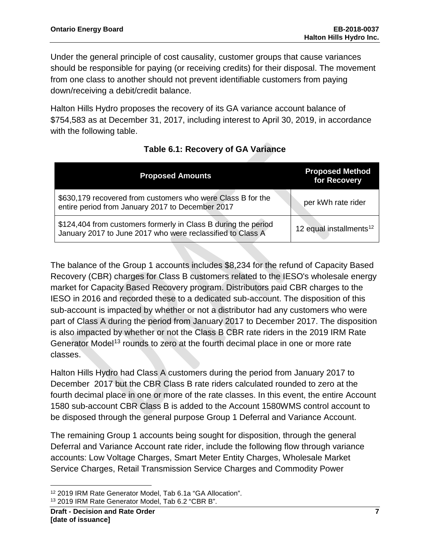Under the general principle of cost causality, customer groups that cause variances should be responsible for paying (or receiving credits) for their disposal. The movement from one class to another should not prevent identifiable customers from paying down/receiving a debit/credit balance.

Halton Hills Hydro proposes the recovery of its GA variance account balance of \$754,583 as at December 31, 2017, including interest to April 30, 2019, in accordance with the following table.

| <b>Proposed Amounts</b>                                                                                                      | <b>Proposed Method</b><br>for Recovery |
|------------------------------------------------------------------------------------------------------------------------------|----------------------------------------|
| \$630,179 recovered from customers who were Class B for the<br>entire period from January 2017 to December 2017              | per kWh rate rider                     |
| \$124,404 from customers formerly in Class B during the period<br>January 2017 to June 2017 who were reclassified to Class A | 12 equal installments <sup>12</sup>    |

### **Table 6.1: Recovery of GA Variance**

The balance of the Group 1 accounts includes \$8,234 for the refund of Capacity Based Recovery (CBR) charges for Class B customers related to the IESO's wholesale energy market for Capacity Based Recovery program. Distributors paid CBR charges to the IESO in 2016 and recorded these to a dedicated sub-account. The disposition of this sub-account is impacted by whether or not a distributor had any customers who were part of Class A during the period from January 2017 to December 2017. The disposition is also impacted by whether or not the Class B CBR rate riders in the 2019 IRM Rate Generator Model<sup>[13](#page-7-1)</sup> rounds to zero at the fourth decimal place in one or more rate classes.

Halton Hills Hydro had Class A customers during the period from January 2017 to December 2017 but the CBR Class B rate riders calculated rounded to zero at the fourth decimal place in one or more of the rate classes. In this event, the entire Account 1580 sub-account CBR Class B is added to the Account 1580WMS control account to be disposed through the general purpose Group 1 Deferral and Variance Account.

The remaining Group 1 accounts being sought for disposition, through the general Deferral and Variance Account rate rider, include the following flow through variance accounts: Low Voltage Charges, Smart Meter Entity Charges, Wholesale Market Service Charges, Retail Transmission Service Charges and Commodity Power

l <sup>12</sup> 2019 IRM Rate Generator Model, Tab 6.1a "GA Allocation".

<span id="page-7-1"></span><span id="page-7-0"></span><sup>13</sup> 2019 IRM Rate Generator Model, Tab 6.2 "CBR B".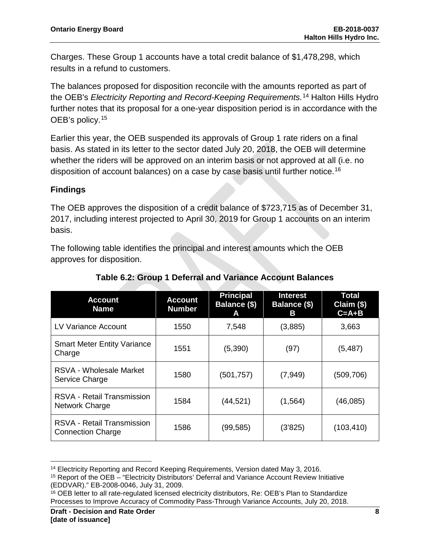Charges. These Group 1 accounts have a total credit balance of \$1,478,298, which results in a refund to customers.

The balances proposed for disposition reconcile with the amounts reported as part of the OEB's *Electricity Reporting and Record-Keeping Requirements.* [14](#page-8-0) Halton Hills Hydro further notes that its proposal for a one-year disposition period is in accordance with the OEB's policy.<sup>[15](#page-8-1)</sup>

Earlier this year, the OEB suspended its approvals of Group 1 rate riders on a final basis. As stated in its letter to the sector dated July 20, 2018, the OEB will determine whether the riders will be approved on an interim basis or not approved at all (i.e. no disposition of account balances) on a case by case basis until further notice.<sup>[16](#page-8-2)</sup>

#### **Findings**

The OEB approves the disposition of a credit balance of \$723,715 as of December 31, 2017, including interest projected to April 30, 2019 for Group 1 accounts on an interim basis.

The following table identifies the principal and interest amounts which the OEB approves for disposition.

| Account<br><b>Name</b>                                 | <b>Account</b><br><b>Number</b> | <b>Principal</b><br>Balance (\$)<br>А | <b>Interest</b><br><b>Balance (\$)</b><br>в | Total<br>Claim (\$)<br>$C = A + B$ |
|--------------------------------------------------------|---------------------------------|---------------------------------------|---------------------------------------------|------------------------------------|
| LV Variance Account                                    | 1550                            | 7,548                                 | (3,885)                                     | 3,663                              |
| <b>Smart Meter Entity Variance</b><br>Charge           | 1551                            | (5,390)                               | (97)                                        | (5, 487)                           |
| RSVA - Wholesale Market<br>Service Charge              | 1580                            | (501, 757)                            | (7, 949)                                    | (509, 706)                         |
| <b>RSVA - Retail Transmission</b><br>Network Charge    | 1584                            | (44, 521)                             | (1, 564)                                    | (46,085)                           |
| RSVA - Retail Transmission<br><b>Connection Charge</b> | 1586                            | (99, 585)                             | (3'825)                                     | (103, 410)                         |

**Table 6.2: Group 1 Deferral and Variance Account Balances**

 $\overline{\phantom{a}}$ 

<span id="page-8-0"></span><sup>14</sup> Electricity Reporting and Record Keeping Requirements, Version dated May 3, 2016.

<span id="page-8-1"></span><sup>15</sup> Report of the OEB – "Electricity Distributors' Deferral and Variance Account Review Initiative (EDDVAR)." EB-2008-0046, July 31, 2009.

<span id="page-8-2"></span><sup>16</sup> OEB letter to all rate-regulated licensed electricity distributors, Re: OEB's Plan to Standardize Processes to Improve Accuracy of Commodity Pass-Through Variance Accounts, July 20, 2018.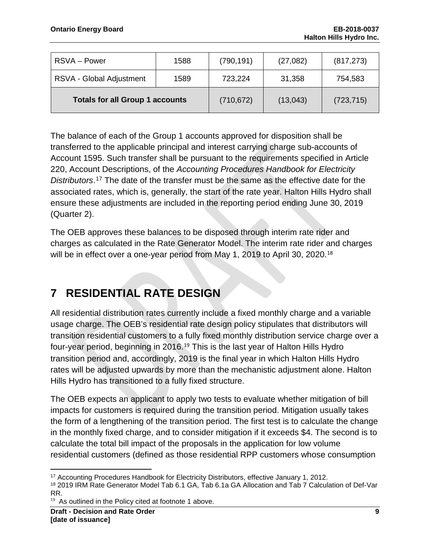| RSVA – Power                           | 1588 | (790, 191) | (27,082) | (817, 273) |
|----------------------------------------|------|------------|----------|------------|
| RSVA - Global Adjustment               | 1589 | 723,224    | 31,358   | 754,583    |
| <b>Totals for all Group 1 accounts</b> |      | (710, 672) | (13,043) | (723, 715) |

The balance of each of the Group 1 accounts approved for disposition shall be transferred to the applicable principal and interest carrying charge sub-accounts of Account 1595. Such transfer shall be pursuant to the requirements specified in Article 220, Account Descriptions, of the *Accounting Procedures Handbook for Electricity Distributors*. [17](#page-9-0) The date of the transfer must be the same as the effective date for the associated rates, which is, generally, the start of the rate year. Halton Hills Hydro shall ensure these adjustments are included in the reporting period ending June 30, 2019 (Quarter 2).

The OEB approves these balances to be disposed through interim rate rider and charges as calculated in the Rate Generator Model. The interim rate rider and charges will be in effect over a one-year period from May 1, 2019 to April 30, 2020.<sup>[18](#page-9-1)</sup>

## **7 RESIDENTIAL RATE DESIGN**

All residential distribution rates currently include a fixed monthly charge and a variable usage charge. The OEB's residential rate design policy stipulates that distributors will transition residential customers to a fully fixed monthly distribution service charge over a four-year period, beginning in 2016.<sup>[19](#page-9-2)</sup> This is the last year of Halton Hills Hydro transition period and, accordingly, 2019 is the final year in which Halton Hills Hydro rates will be adjusted upwards by more than the mechanistic adjustment alone. Halton Hills Hydro has transitioned to a fully fixed structure.

The OEB expects an applicant to apply two tests to evaluate whether mitigation of bill impacts for customers is required during the transition period. Mitigation usually takes the form of a lengthening of the transition period. The first test is to calculate the change in the monthly fixed charge, and to consider mitigation if it exceeds \$4. The second is to calculate the total bill impact of the proposals in the application for low volume residential customers (defined as those residential RPP customers whose consumption

 $\overline{a}$ 

<span id="page-9-0"></span><sup>17</sup> Accounting Procedures Handbook for Electricity Distributors, effective January 1, 2012.

<span id="page-9-1"></span><sup>&</sup>lt;sup>18</sup> 2019 IRM Rate Generator Model Tab 6.1 GA, Tab 6.1a GA Allocation and Tab 7 Calculation of Def-Var RR.

<span id="page-9-2"></span> $19$  As outlined in the Policy cited at footnote 1 above.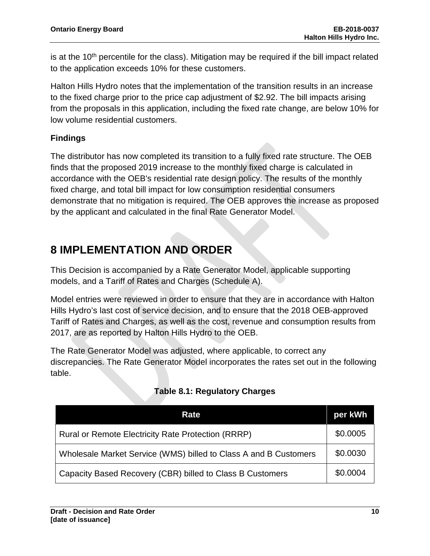is at the  $10<sup>th</sup>$  percentile for the class). Mitigation may be required if the bill impact related to the application exceeds 10% for these customers.

Halton Hills Hydro notes that the implementation of the transition results in an increase to the fixed charge prior to the price cap adjustment of \$2.92. The bill impacts arising from the proposals in this application, including the fixed rate change, are below 10% for low volume residential customers.

#### **Findings**

The distributor has now completed its transition to a fully fixed rate structure. The OEB finds that the proposed 2019 increase to the monthly fixed charge is calculated in accordance with the OEB's residential rate design policy. The results of the monthly fixed charge, and total bill impact for low consumption residential consumers demonstrate that no mitigation is required. The OEB approves the increase as proposed by the applicant and calculated in the final Rate Generator Model.

### **8 IMPLEMENTATION AND ORDER**

This Decision is accompanied by a Rate Generator Model, applicable supporting models, and a Tariff of Rates and Charges (Schedule A).

Model entries were reviewed in order to ensure that they are in accordance with Halton Hills Hydro's last cost of service decision, and to ensure that the 2018 OEB-approved Tariff of Rates and Charges, as well as the cost, revenue and consumption results from 2017, are as reported by Halton Hills Hydro to the OEB.

The Rate Generator Model was adjusted, where applicable, to correct any discrepancies. The Rate Generator Model incorporates the rates set out in the following table.

| Rate                                                             | per kWh  |
|------------------------------------------------------------------|----------|
| <b>Rural or Remote Electricity Rate Protection (RRRP)</b>        | \$0.0005 |
| Wholesale Market Service (WMS) billed to Class A and B Customers |          |
| Capacity Based Recovery (CBR) billed to Class B Customers        | \$0.0004 |

### **Table 8.1: Regulatory Charges**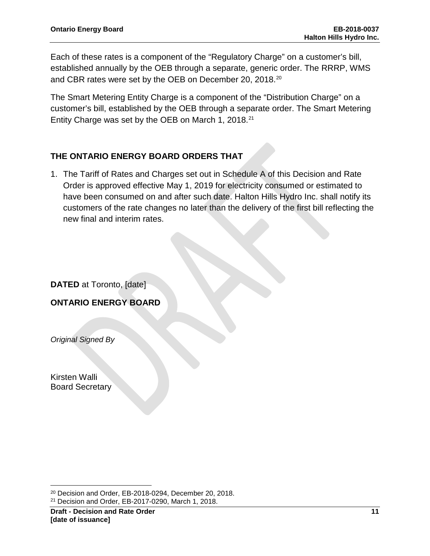Each of these rates is a component of the "Regulatory Charge" on a customer's bill, established annually by the OEB through a separate, generic order. The RRRP, WMS and CBR rates were set by the OEB on December 20, 2018. [20](#page-11-0)

The Smart Metering Entity Charge is a component of the "Distribution Charge" on a customer's bill, established by the OEB through a separate order. The Smart Metering Entity Charge was set by the OEB on March 1, 2018.[21](#page-11-1)

#### **THE ONTARIO ENERGY BOARD ORDERS THAT**

1. The Tariff of Rates and Charges set out in Schedule A of this Decision and Rate Order is approved effective May 1, 2019 for electricity consumed or estimated to have been consumed on and after such date. Halton Hills Hydro Inc. shall notify its customers of the rate changes no later than the delivery of the first bill reflecting the new final and interim rates.

**DATED** at Toronto, [date]

**ONTARIO ENERGY BOARD**

*Original Signed By*

Kirsten Walli Board Secretary

l

<span id="page-11-1"></span><span id="page-11-0"></span><sup>20</sup> Decision and Order, EB-2018-0294, December 20, 2018. <sup>21</sup> Decision and Order, EB-2017-0290, March 1, 2018.